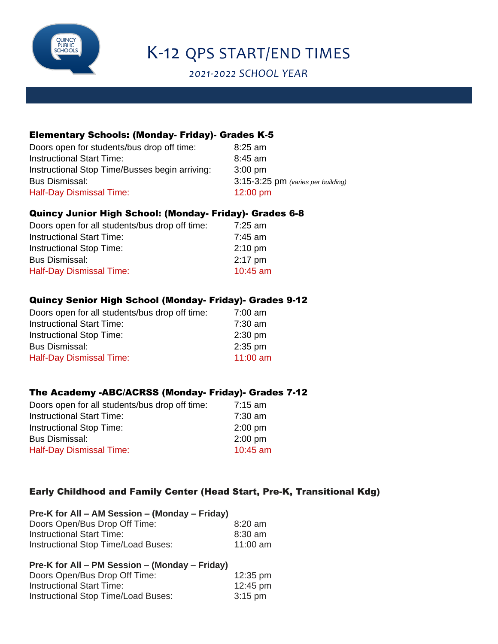

# K-12 QPS START/END TIMES

*2021-2022 SCHOOL YEAR*

# Elementary Schools: (Monday- Friday)- Grades K-5

| Doors open for students/bus drop off time:     | $8:25$ am                          |
|------------------------------------------------|------------------------------------|
| <b>Instructional Start Time:</b>               | $8:45$ am                          |
| Instructional Stop Time/Busses begin arriving: | $3:00 \text{ pm}$                  |
| <b>Bus Dismissal:</b>                          | 3:15-3:25 pm (varies per building) |
| Half-Day Dismissal Time:                       | $12:00 \text{ pm}$                 |

## Quincy Junior High School: (Monday- Friday)- Grades 6-8

| Doors open for all students/bus drop off time: | 7:25 am           |
|------------------------------------------------|-------------------|
| <b>Instructional Start Time:</b>               | $7:45$ am         |
| <b>Instructional Stop Time:</b>                | $2:10 \text{ pm}$ |
| Bus Dismissal:                                 | $2:17$ pm         |
| <b>Half-Day Dismissal Time:</b>                | 10:45 am          |

## Quincy Senior High School (Monday- Friday)- Grades 9-12

| 7:00 am    |
|------------|
| $7:30$ am  |
| $2:30$ pm  |
| $2:35$ pm  |
| $11:00$ am |
|            |

### The Academy -ABC/ACRSS (Monday- Friday)- Grades 7-12

| 7:15 am   |
|-----------|
| $7:30$ am |
| $2:00$ pm |
| $2:00$ pm |
| 10:45 am  |
|           |

# Early Childhood and Family Center (Head Start, Pre-K, Transitional Kdg)

| Pre-K for All – AM Session – (Monday – Friday) |            |
|------------------------------------------------|------------|
| Doors Open/Bus Drop Off Time:                  | $8:20$ am  |
| <b>Instructional Start Time:</b>               | 8:30 am    |
| Instructional Stop Time/Load Buses:            | 11:00 $am$ |

#### **Pre-K for All – PM Session – (Monday – Friday)** Doors Open/Bus Drop Off Time: 12:35 pm

| DOODS OPENDUS DIOP ON THILE.        | TZ.33 PIII        |
|-------------------------------------|-------------------|
| Instructional Start Time:           | 12:45 pm          |
| Instructional Stop Time/Load Buses: | $3:15 \text{ pm}$ |